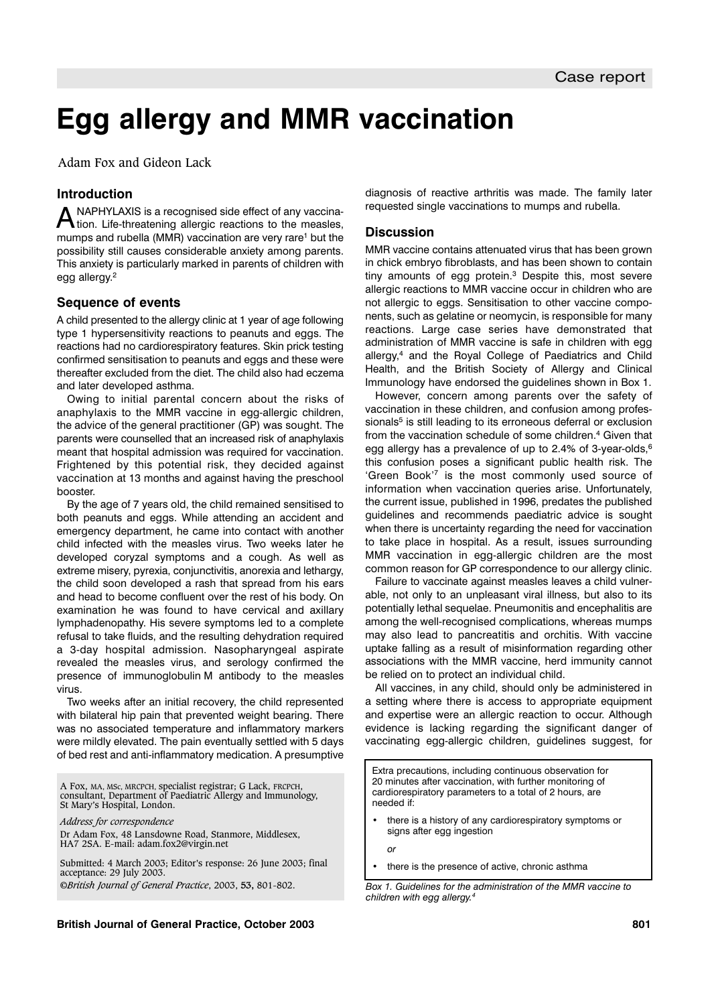# **Egg allergy and MMR vaccination**

Adam Fox and Gideon Lack

# **Introduction**

A NAPHYLAXIS is a recognised side effect of any vaccina-<br>A tion. Life-threatening allergic reactions to the measles, mumps and rubella (MMR) vaccination are very rare<sup>1</sup> but the possibility still causes considerable anxiety among parents. This anxiety is particularly marked in parents of children with egg allergy.2

## **Sequence of events**

A child presented to the allergy clinic at 1 year of age following type 1 hypersensitivity reactions to peanuts and eggs. The reactions had no cardiorespiratory features. Skin prick testing confirmed sensitisation to peanuts and eggs and these were thereafter excluded from the diet. The child also had eczema and later developed asthma.

Owing to initial parental concern about the risks of anaphylaxis to the MMR vaccine in egg-allergic children, the advice of the general practitioner (GP) was sought. The parents were counselled that an increased risk of anaphylaxis meant that hospital admission was required for vaccination. Frightened by this potential risk, they decided against vaccination at 13 months and against having the preschool booster.

By the age of 7 years old, the child remained sensitised to both peanuts and eggs. While attending an accident and emergency department, he came into contact with another child infected with the measles virus. Two weeks later he developed coryzal symptoms and a cough. As well as extreme misery, pyrexia, conjunctivitis, anorexia and lethargy, the child soon developed a rash that spread from his ears and head to become confluent over the rest of his body. On examination he was found to have cervical and axillary lymphadenopathy. His severe symptoms led to a complete refusal to take fluids, and the resulting dehydration required a 3-day hospital admission. Nasopharyngeal aspirate revealed the measles virus, and serology confirmed the presence of immunoglobulin M antibody to the measles virus.

Two weeks after an initial recovery, the child represented with bilateral hip pain that prevented weight bearing. There was no associated temperature and inflammatory markers were mildly elevated. The pain eventually settled with 5 days of bed rest and anti-inflammatory medication. A presumptive

A Fox, MA, MSc, MRCPCH, specialist registrar; G Lack, FRCPCH, consultant, Department of Paediatric Allergy and Immunology, St Mary's Hospital, London.

*Address for correspondence* Dr Adam Fox, 48 Lansdowne Road, Stanmore, Middlesex,

HA7 2SA. E-mail: adam.fox2@virgin.net

Submitted: 4 March 2003; Editor's response: 26 June 2003; final acceptance: 29 July 2003. ©*British Journal of General Practice*, 2003, **53,** 801-802.

diagnosis of reactive arthritis was made. The family later requested single vaccinations to mumps and rubella.

## **Discussion**

MMR vaccine contains attenuated virus that has been grown in chick embryo fibroblasts, and has been shown to contain tiny amounts of egg protein.3 Despite this, most severe allergic reactions to MMR vaccine occur in children who are not allergic to eggs. Sensitisation to other vaccine components, such as gelatine or neomycin, is responsible for many reactions. Large case series have demonstrated that administration of MMR vaccine is safe in children with egg allergy,4 and the Royal College of Paediatrics and Child Health, and the British Society of Allergy and Clinical Immunology have endorsed the guidelines shown in Box 1.

However, concern among parents over the safety of vaccination in these children, and confusion among professionals<sup>5</sup> is still leading to its erroneous deferral or exclusion from the vaccination schedule of some children.<sup>4</sup> Given that egg allergy has a prevalence of up to 2.4% of 3-year-olds, $6$ this confusion poses a significant public health risk. The 'Green Book'7 is the most commonly used source of information when vaccination queries arise. Unfortunately, the current issue, published in 1996, predates the published guidelines and recommends paediatric advice is sought when there is uncertainty regarding the need for vaccination to take place in hospital. As a result, issues surrounding MMR vaccination in egg-allergic children are the most common reason for GP correspondence to our allergy clinic.

Failure to vaccinate against measles leaves a child vulnerable, not only to an unpleasant viral illness, but also to its potentially lethal sequelae. Pneumonitis and encephalitis are among the well-recognised complications, whereas mumps may also lead to pancreatitis and orchitis. With vaccine uptake falling as a result of misinformation regarding other associations with the MMR vaccine, herd immunity cannot be relied on to protect an individual child.

All vaccines, in any child, should only be administered in a setting where there is access to appropriate equipment and expertise were an allergic reaction to occur. Although evidence is lacking regarding the significant danger of vaccinating egg-allergic children, guidelines suggest, for

Extra precautions, including continuous observation for 20 minutes after vaccination, with further monitoring of cardiorespiratory parameters to a total of 2 hours, are needed if:

there is a history of any cardiorespiratory symptoms or signs after egg ingestion

*or*

there is the presence of active, chronic asthma

*Box 1. Guidelines for the administration of the MMR vaccine to children with egg allergy.4*

#### **British Journal of General Practice, October 2003 801**